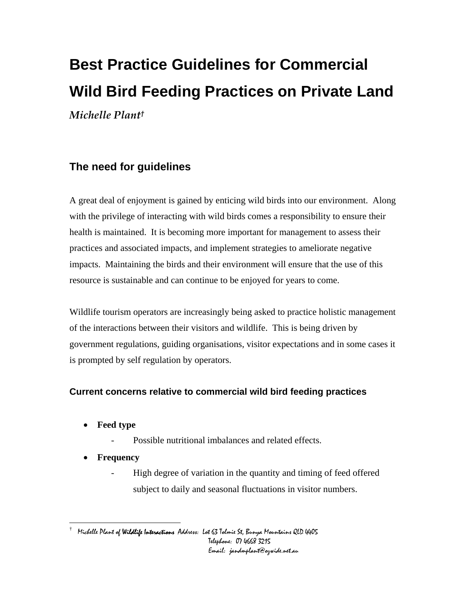# **Best Practice Guidelines for Commercial Wild Bird Feeding Practices on Private Land**  *Michelle Plan[t†](#page-0-0)*

# **The need for guidelines**

A great deal of enjoyment is gained by enticing wild birds into our environment. Along with the privilege of interacting with wild birds comes a responsibility to ensure their health is maintained. It is becoming more important for management to assess their practices and associated impacts, and implement strategies to ameliorate negative impacts. Maintaining the birds and their environment will ensure that the use of this resource is sustainable and can continue to be enjoyed for years to come.

Wildlife tourism operators are increasingly being asked to practice holistic management of the interactions between their visitors and wildlife. This is being driven by government regulations, guiding organisations, visitor expectations and in some cases it is prompted by self regulation by operators.

# **Current concerns relative to commercial wild bird feeding practices**

- **Feed type** 
	- Possible nutritional imbalances and related effects.
- **Frequency**

 $\overline{a}$ 

High degree of variation in the quantity and timing of feed offered subject to daily and seasonal fluctuations in visitor numbers.

<span id="page-0-0"></span> $^\dagger$  Michelle Plant of **Wildlife Interactions** Address: Lot 63 Tolmie St, Bunya Mountains QLD 4405 Telephone: 07 4668 3215 Email: jandmplant@ozwide.net.au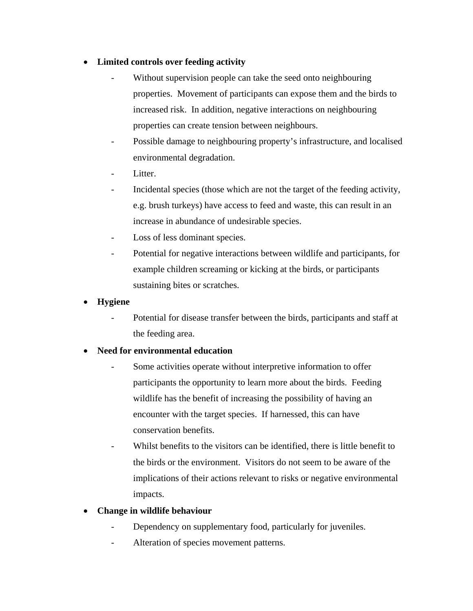### • **Limited controls over feeding activity**

- Without supervision people can take the seed onto neighbouring properties. Movement of participants can expose them and the birds to increased risk. In addition, negative interactions on neighbouring properties can create tension between neighbours.
- Possible damage to neighbouring property's infrastructure, and localised environmental degradation.
- Litter.
- Incidental species (those which are not the target of the feeding activity, e.g. brush turkeys) have access to feed and waste, this can result in an increase in abundance of undesirable species.
- Loss of less dominant species.
- Potential for negative interactions between wildlife and participants, for example children screaming or kicking at the birds, or participants sustaining bites or scratches.
- **Hygiene** 
	- Potential for disease transfer between the birds, participants and staff at the feeding area.

### • **Need for environmental education**

- Some activities operate without interpretive information to offer participants the opportunity to learn more about the birds. Feeding wildlife has the benefit of increasing the possibility of having an encounter with the target species. If harnessed, this can have conservation benefits.
- Whilst benefits to the visitors can be identified, there is little benefit to the birds or the environment. Visitors do not seem to be aware of the implications of their actions relevant to risks or negative environmental impacts.
- **Change in wildlife behaviour** 
	- Dependency on supplementary food, particularly for juveniles.
	- Alteration of species movement patterns.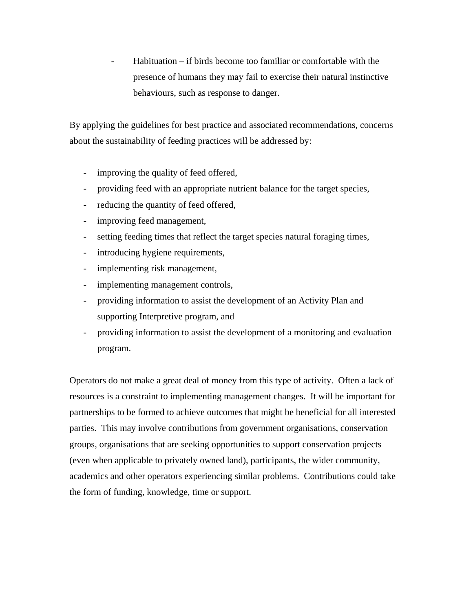$Habituation - if birds become too familiar or comfortable with the$ presence of humans they may fail to exercise their natural instinctive behaviours, such as response to danger.

By applying the guidelines for best practice and associated recommendations, concerns about the sustainability of feeding practices will be addressed by:

- improving the quality of feed offered,
- providing feed with an appropriate nutrient balance for the target species,
- reducing the quantity of feed offered,
- improving feed management,
- setting feeding times that reflect the target species natural foraging times,
- introducing hygiene requirements,
- implementing risk management,
- implementing management controls,
- providing information to assist the development of an Activity Plan and supporting Interpretive program, and
- providing information to assist the development of a monitoring and evaluation program.

Operators do not make a great deal of money from this type of activity. Often a lack of resources is a constraint to implementing management changes. It will be important for partnerships to be formed to achieve outcomes that might be beneficial for all interested parties. This may involve contributions from government organisations, conservation groups, organisations that are seeking opportunities to support conservation projects (even when applicable to privately owned land), participants, the wider community, academics and other operators experiencing similar problems. Contributions could take the form of funding, knowledge, time or support.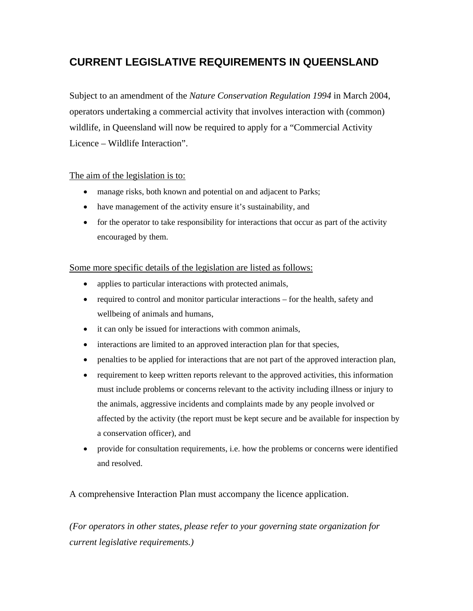# **CURRENT LEGISLATIVE REQUIREMENTS IN QUEENSLAND**

Subject to an amendment of the *Nature Conservation Regulation 1994* in March 2004, operators undertaking a commercial activity that involves interaction with (common) wildlife, in Queensland will now be required to apply for a "Commercial Activity Licence – Wildlife Interaction".

### The aim of the legislation is to:

- manage risks, both known and potential on and adjacent to Parks;
- have management of the activity ensure it's sustainability, and
- for the operator to take responsibility for interactions that occur as part of the activity encouraged by them.

### Some more specific details of the legislation are listed as follows:

- applies to particular interactions with protected animals,
- required to control and monitor particular interactions for the health, safety and wellbeing of animals and humans,
- it can only be issued for interactions with common animals,
- interactions are limited to an approved interaction plan for that species,
- penalties to be applied for interactions that are not part of the approved interaction plan,
- requirement to keep written reports relevant to the approved activities, this information must include problems or concerns relevant to the activity including illness or injury to the animals, aggressive incidents and complaints made by any people involved or affected by the activity (the report must be kept secure and be available for inspection by a conservation officer), and
- provide for consultation requirements, i.e. how the problems or concerns were identified and resolved.

A comprehensive Interaction Plan must accompany the licence application.

*(For operators in other states, please refer to your governing state organization for current legislative requirements.)*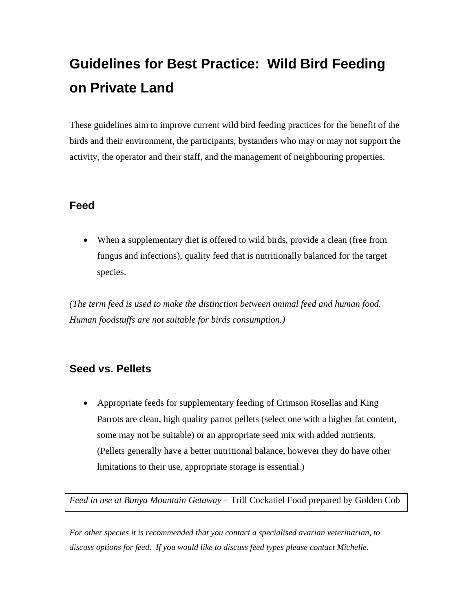# **Guidelines for Best Practice: Wild Bird Feeding on Private Land**

These guidelines aim to improve current wild bird feeding practices for the benefit of the birds and their environment, the participants, bystanders who may or may not support the activity, the operator and their staff, and the management of neighbouring properties.

# **Feed**

• When a supplementary diet is offered to wild birds, provide a clean (free from fungus and infections), quality feed that is nutritionally balanced for the target species.

*(The term feed is used to make the distinction between animal feed and human food. Human foodstuffs are not suitable for birds consumption.)* 

# **Seed vs. Pellets**

• Appropriate feeds for supplementary feeding of Crimson Rosellas and King Parrots are clean, high quality parrot pellets (select one with a higher fat content, some may not be suitable) or an appropriate seed mix with added nutrients. (Pellets generally have a better nutritional balance, however they do have other limitations to their use, appropriate storage is essential.)

*Feed in use at Bunya Mountain Getaway –* Trill Cockatiel Food prepared by Golden Cob

*For other species it is recommended that you contact a specialised avarian veterinarian, to discuss options for feed. If you would like to discuss feed types please contact Michelle*.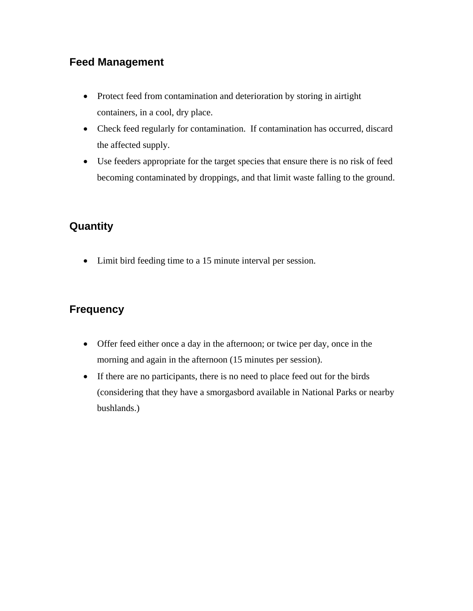# **Feed Management**

- Protect feed from contamination and deterioration by storing in airtight containers, in a cool, dry place.
- Check feed regularly for contamination. If contamination has occurred, discard the affected supply.
- Use feeders appropriate for the target species that ensure there is no risk of feed becoming contaminated by droppings, and that limit waste falling to the ground.

# **Quantity**

• Limit bird feeding time to a 15 minute interval per session.

# **Frequency**

- Offer feed either once a day in the afternoon; or twice per day, once in the morning and again in the afternoon (15 minutes per session).
- If there are no participants, there is no need to place feed out for the birds (considering that they have a smorgasbord available in National Parks or nearby bushlands.)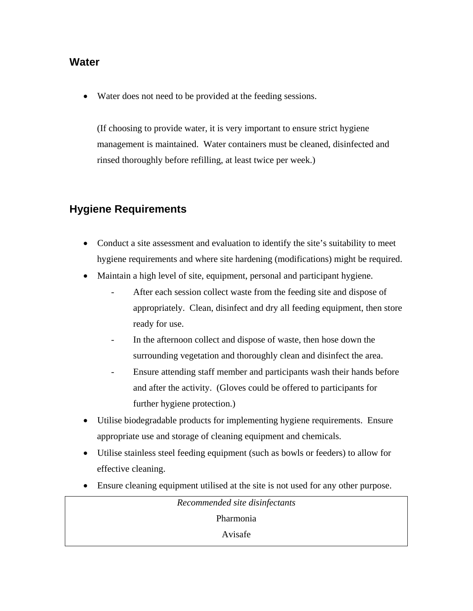### **Water**

• Water does not need to be provided at the feeding sessions.

(If choosing to provide water, it is very important to ensure strict hygiene management is maintained. Water containers must be cleaned, disinfected and rinsed thoroughly before refilling, at least twice per week.)

# **Hygiene Requirements**

- Conduct a site assessment and evaluation to identify the site's suitability to meet hygiene requirements and where site hardening (modifications) might be required.
- Maintain a high level of site, equipment, personal and participant hygiene.
	- After each session collect waste from the feeding site and dispose of appropriately. Clean, disinfect and dry all feeding equipment, then store ready for use.
	- In the afternoon collect and dispose of waste, then hose down the surrounding vegetation and thoroughly clean and disinfect the area.
	- Ensure attending staff member and participants wash their hands before and after the activity. (Gloves could be offered to participants for further hygiene protection.)
- Utilise biodegradable products for implementing hygiene requirements. Ensure appropriate use and storage of cleaning equipment and chemicals.
- Utilise stainless steel feeding equipment (such as bowls or feeders) to allow for effective cleaning.
- Ensure cleaning equipment utilised at the site is not used for any other purpose.

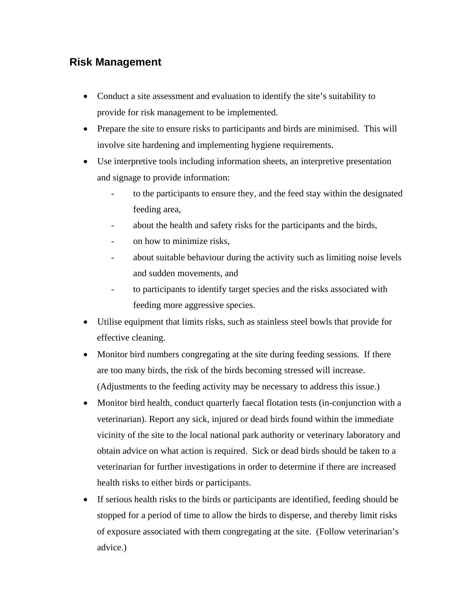# **Risk Management**

- Conduct a site assessment and evaluation to identify the site's suitability to provide for risk management to be implemented.
- Prepare the site to ensure risks to participants and birds are minimised. This will involve site hardening and implementing hygiene requirements.
- Use interpretive tools including information sheets, an interpretive presentation and signage to provide information:
	- to the participants to ensure they, and the feed stay within the designated feeding area,
	- about the health and safety risks for the participants and the birds,
	- on how to minimize risks,
	- about suitable behaviour during the activity such as limiting noise levels and sudden movements, and
	- to participants to identify target species and the risks associated with feeding more aggressive species.
- Utilise equipment that limits risks, such as stainless steel bowls that provide for effective cleaning.
- Monitor bird numbers congregating at the site during feeding sessions. If there are too many birds, the risk of the birds becoming stressed will increase. (Adjustments to the feeding activity may be necessary to address this issue.)
- Monitor bird health, conduct quarterly faecal flotation tests (in-conjunction with a veterinarian). Report any sick, injured or dead birds found within the immediate vicinity of the site to the local national park authority or veterinary laboratory and obtain advice on what action is required. Sick or dead birds should be taken to a veterinarian for further investigations in order to determine if there are increased health risks to either birds or participants.
- If serious health risks to the birds or participants are identified, feeding should be stopped for a period of time to allow the birds to disperse, and thereby limit risks of exposure associated with them congregating at the site. (Follow veterinarian's advice.)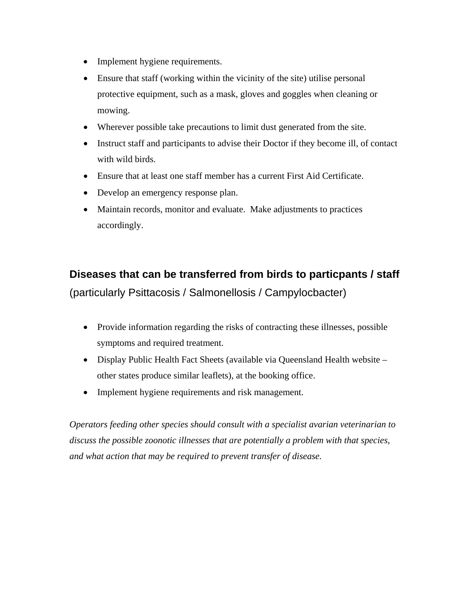- Implement hygiene requirements.
- Ensure that staff (working within the vicinity of the site) utilise personal protective equipment, such as a mask, gloves and goggles when cleaning or mowing.
- Wherever possible take precautions to limit dust generated from the site.
- Instruct staff and participants to advise their Doctor if they become ill, of contact with wild birds.
- Ensure that at least one staff member has a current First Aid Certificate.
- Develop an emergency response plan.
- Maintain records, monitor and evaluate. Make adjustments to practices accordingly.

# **Diseases that can be transferred from birds to particpants / staff**  (particularly Psittacosis / Salmonellosis / Campylocbacter)

- Provide information regarding the risks of contracting these illnesses, possible symptoms and required treatment.
- Display Public Health Fact Sheets (available via Queensland Health website other states produce similar leaflets), at the booking office.
- Implement hygiene requirements and risk management.

*Operators feeding other species should consult with a specialist avarian veterinarian to discuss the possible zoonotic illnesses that are potentially a problem with that species, and what action that may be required to prevent transfer of disease.*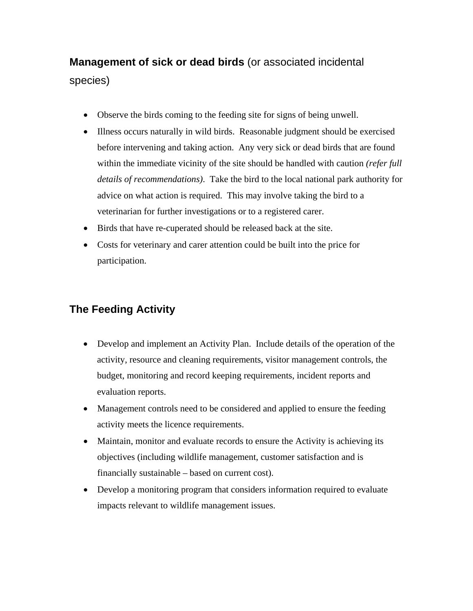# **Management of sick or dead birds** (or associated incidental

### species)

- Observe the birds coming to the feeding site for signs of being unwell.
- Illness occurs naturally in wild birds. Reasonable judgment should be exercised before intervening and taking action. Any very sick or dead birds that are found within the immediate vicinity of the site should be handled with caution *(refer full details of recommendations)*. Take the bird to the local national park authority for advice on what action is required. This may involve taking the bird to a veterinarian for further investigations or to a registered carer.
- Birds that have re-cuperated should be released back at the site.
- Costs for veterinary and carer attention could be built into the price for participation.

# **The Feeding Activity**

- Develop and implement an Activity Plan. Include details of the operation of the activity, resource and cleaning requirements, visitor management controls, the budget, monitoring and record keeping requirements, incident reports and evaluation reports.
- Management controls need to be considered and applied to ensure the feeding activity meets the licence requirements.
- Maintain, monitor and evaluate records to ensure the Activity is achieving its objectives (including wildlife management, customer satisfaction and is financially sustainable – based on current cost).
- Develop a monitoring program that considers information required to evaluate impacts relevant to wildlife management issues.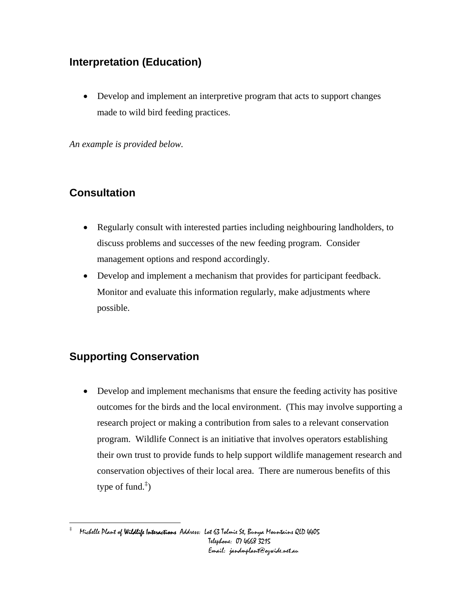# **Interpretation (Education)**

• Develop and implement an interpretive program that acts to support changes made to wild bird feeding practices.

*An example is provided below.* 

# **Consultation**

- Regularly consult with interested parties including neighbouring landholders, to discuss problems and successes of the new feeding program. Consider management options and respond accordingly.
- Develop and implement a mechanism that provides for participant feedback. Monitor and evaluate this information regularly, make adjustments where possible.

# **Supporting Conservation**

• Develop and implement mechanisms that ensure the feeding activity has positive outcomes for the birds and the local environment. (This may involve supporting a research project or making a contribution from sales to a relevant conservation program. Wildlife Connect is an initiative that involves operators establishing their own trust to provide funds to help support wildlife management research and conservation objectives of their local area. There are numerous benefits of this type of fund.<sup> $\ddagger$ </sup>)

<span id="page-10-0"></span><sup>&</sup>lt;u>.</u><br># Michelle Plant of **Wildlife Interactions** Address: Lot 63 Tolmie St, Bunya Mountains QLD 4405 Telephone: 07 4668 3215 Email: jandmplant@ozwide.net.au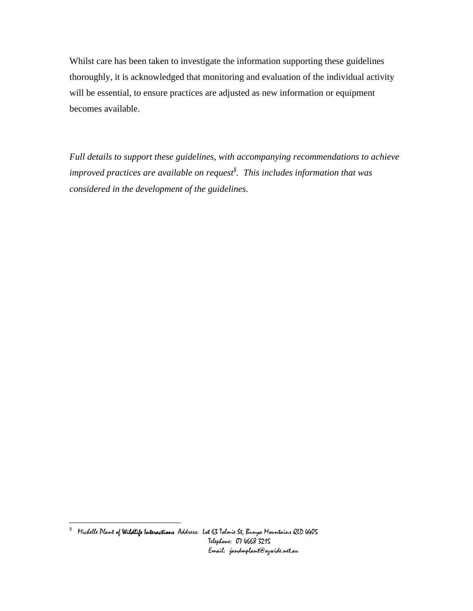Whilst care has been taken to investigate the information supporting these guidelines thoroughly, it is acknowledged that monitoring and evaluation of the individual activity will be essential, to ensure practices are adjusted as new information or equipment becomes available.

*Full details to support these guidelines, with accompanying recommendations to achieve improved practices are available on reques[t§](#page-11-0) . This includes information that was considered in the development of the guidelines.* 

<span id="page-11-0"></span>e<br><sup>§</sup> Michelle Plant **of Wildlife Interactions** Address: Lot 63 Tolmie St, Bunya Mountains QLD 4405 Telephone: 07 4668 3215 Email: jandmplant@ozwide.net.au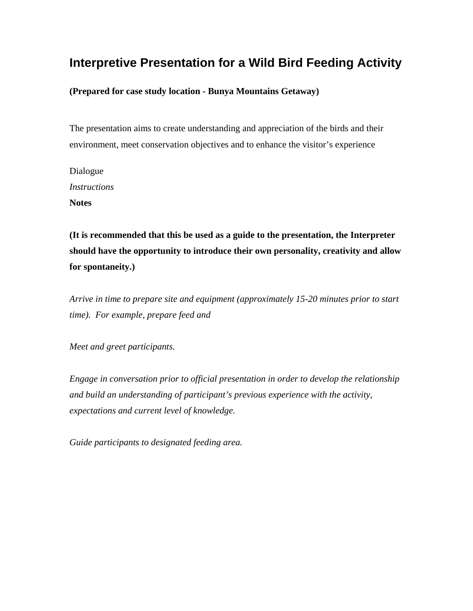# **Interpretive Presentation for a Wild Bird Feeding Activity**

**(Prepared for case study location - Bunya Mountains Getaway)** 

The presentation aims to create understanding and appreciation of the birds and their environment, meet conservation objectives and to enhance the visitor's experience

Dialogue *Instructions*  **Notes** 

**(It is recommended that this be used as a guide to the presentation, the Interpreter should have the opportunity to introduce their own personality, creativity and allow for spontaneity.)** 

*Arrive in time to prepare site and equipment (approximately 15-20 minutes prior to start time). For example, prepare feed and* 

*Meet and greet participants.* 

*Engage in conversation prior to official presentation in order to develop the relationship and build an understanding of participant's previous experience with the activity, expectations and current level of knowledge.* 

*Guide participants to designated feeding area.*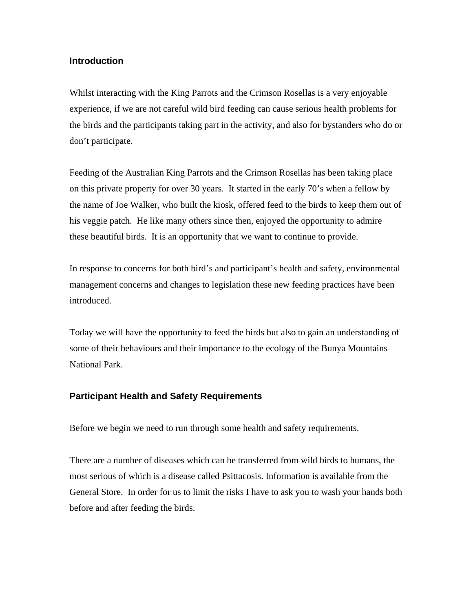### **Introduction**

Whilst interacting with the King Parrots and the Crimson Rosellas is a very enjoyable experience, if we are not careful wild bird feeding can cause serious health problems for the birds and the participants taking part in the activity, and also for bystanders who do or don't participate.

Feeding of the Australian King Parrots and the Crimson Rosellas has been taking place on this private property for over 30 years. It started in the early 70's when a fellow by the name of Joe Walker, who built the kiosk, offered feed to the birds to keep them out of his veggie patch. He like many others since then, enjoyed the opportunity to admire these beautiful birds. It is an opportunity that we want to continue to provide.

In response to concerns for both bird's and participant's health and safety, environmental management concerns and changes to legislation these new feeding practices have been introduced.

Today we will have the opportunity to feed the birds but also to gain an understanding of some of their behaviours and their importance to the ecology of the Bunya Mountains National Park.

### **Participant Health and Safety Requirements**

Before we begin we need to run through some health and safety requirements.

There are a number of diseases which can be transferred from wild birds to humans, the most serious of which is a disease called Psittacosis. Information is available from the General Store. In order for us to limit the risks I have to ask you to wash your hands both before and after feeding the birds.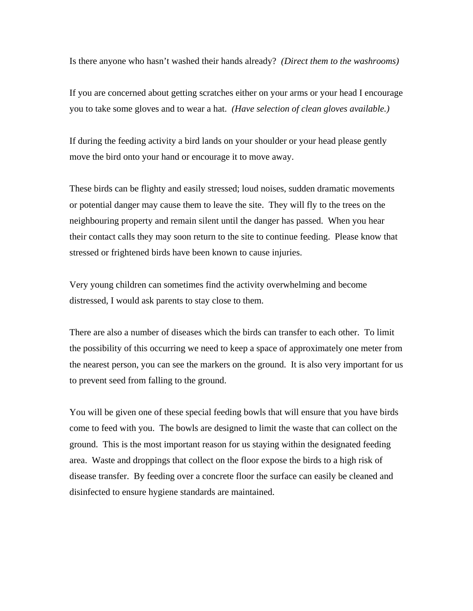Is there anyone who hasn't washed their hands already? *(Direct them to the washrooms)*

If you are concerned about getting scratches either on your arms or your head I encourage you to take some gloves and to wear a hat. *(Have selection of clean gloves available.)*

If during the feeding activity a bird lands on your shoulder or your head please gently move the bird onto your hand or encourage it to move away.

These birds can be flighty and easily stressed; loud noises, sudden dramatic movements or potential danger may cause them to leave the site. They will fly to the trees on the neighbouring property and remain silent until the danger has passed. When you hear their contact calls they may soon return to the site to continue feeding. Please know that stressed or frightened birds have been known to cause injuries.

Very young children can sometimes find the activity overwhelming and become distressed, I would ask parents to stay close to them.

There are also a number of diseases which the birds can transfer to each other. To limit the possibility of this occurring we need to keep a space of approximately one meter from the nearest person, you can see the markers on the ground. It is also very important for us to prevent seed from falling to the ground.

You will be given one of these special feeding bowls that will ensure that you have birds come to feed with you. The bowls are designed to limit the waste that can collect on the ground. This is the most important reason for us staying within the designated feeding area. Waste and droppings that collect on the floor expose the birds to a high risk of disease transfer. By feeding over a concrete floor the surface can easily be cleaned and disinfected to ensure hygiene standards are maintained.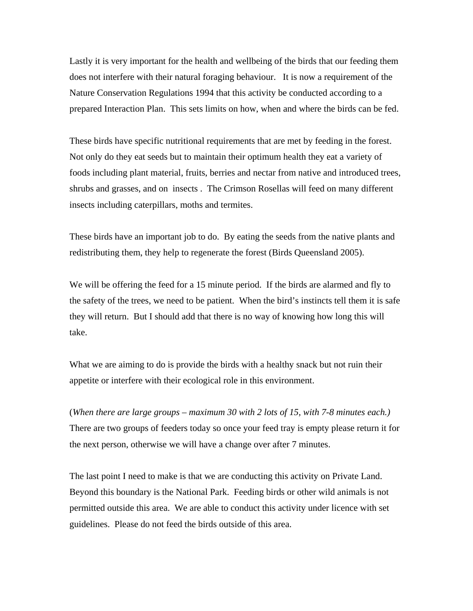Lastly it is very important for the health and wellbeing of the birds that our feeding them does not interfere with their natural foraging behaviour. It is now a requirement of the Nature Conservation Regulations 1994 that this activity be conducted according to a prepared Interaction Plan. This sets limits on how, when and where the birds can be fed.

These birds have specific nutritional requirements that are met by feeding in the forest. Not only do they eat seeds but to maintain their optimum health they eat a variety of foods including plant material, fruits, berries and nectar from native and introduced trees, shrubs and grasses, and on insects . The Crimson Rosellas will feed on many different insects including caterpillars, moths and termites.

These birds have an important job to do. By eating the seeds from the native plants and redistributing them, they help to regenerate the forest (Birds Queensland 2005).

We will be offering the feed for a 15 minute period. If the birds are alarmed and fly to the safety of the trees, we need to be patient. When the bird's instincts tell them it is safe they will return. But I should add that there is no way of knowing how long this will take.

What we are aiming to do is provide the birds with a healthy snack but not ruin their appetite or interfere with their ecological role in this environment.

(*When there are large groups – maximum 30 with 2 lots of 15, with 7-8 minutes each.)*  There are two groups of feeders today so once your feed tray is empty please return it for the next person, otherwise we will have a change over after 7 minutes.

The last point I need to make is that we are conducting this activity on Private Land. Beyond this boundary is the National Park. Feeding birds or other wild animals is not permitted outside this area. We are able to conduct this activity under licence with set guidelines. Please do not feed the birds outside of this area.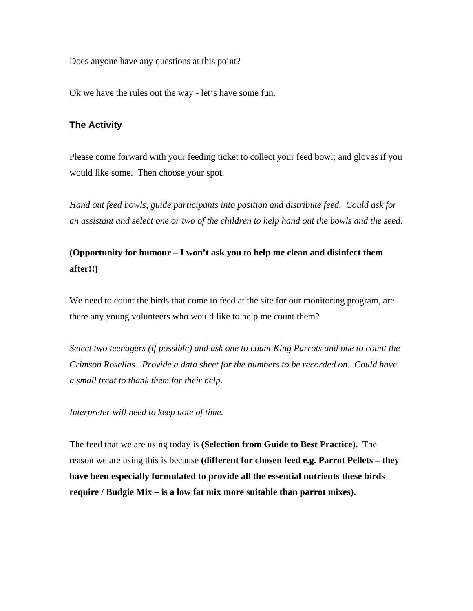Does anyone have any questions at this point?

Ok we have the rules out the way - let's have some fun.

### **The Activity**

Please come forward with your feeding ticket to collect your feed bowl; and gloves if you would like some. Then choose your spot.

*Hand out feed bowls, guide participants into position and distribute feed. Could ask for an assistant and select one or two of the children to help hand out the bowls and the seed.* 

# **(Opportunity for humour – I won't ask you to help me clean and disinfect them after!!)**

We need to count the birds that come to feed at the site for our monitoring program, are there any young volunteers who would like to help me count them?

*Select two teenagers (if possible) and ask one to count King Parrots and one to count the Crimson Rosellas. Provide a data sheet for the numbers to be recorded on. Could have a small treat to thank them for their help.* 

*Interpreter will need to keep note of time.* 

The feed that we are using today is **(Selection from Guide to Best Practice).** The reason we are using this is because **(different for chosen feed e.g. Parrot Pellets – they have been especially formulated to provide all the essential nutrients these birds require / Budgie Mix – is a low fat mix more suitable than parrot mixes).**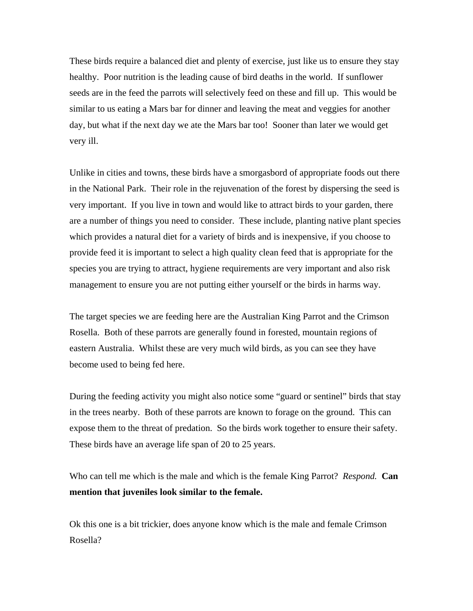These birds require a balanced diet and plenty of exercise, just like us to ensure they stay healthy. Poor nutrition is the leading cause of bird deaths in the world. If sunflower seeds are in the feed the parrots will selectively feed on these and fill up. This would be similar to us eating a Mars bar for dinner and leaving the meat and veggies for another day, but what if the next day we ate the Mars bar too! Sooner than later we would get very ill.

Unlike in cities and towns, these birds have a smorgasbord of appropriate foods out there in the National Park. Their role in the rejuvenation of the forest by dispersing the seed is very important. If you live in town and would like to attract birds to your garden, there are a number of things you need to consider. These include, planting native plant species which provides a natural diet for a variety of birds and is inexpensive, if you choose to provide feed it is important to select a high quality clean feed that is appropriate for the species you are trying to attract, hygiene requirements are very important and also risk management to ensure you are not putting either yourself or the birds in harms way.

The target species we are feeding here are the Australian King Parrot and the Crimson Rosella. Both of these parrots are generally found in forested, mountain regions of eastern Australia. Whilst these are very much wild birds, as you can see they have become used to being fed here.

During the feeding activity you might also notice some "guard or sentinel" birds that stay in the trees nearby. Both of these parrots are known to forage on the ground. This can expose them to the threat of predation. So the birds work together to ensure their safety. These birds have an average life span of 20 to 25 years.

Who can tell me which is the male and which is the female King Parrot? *Respond.* **Can mention that juveniles look similar to the female.** 

Ok this one is a bit trickier, does anyone know which is the male and female Crimson Rosella?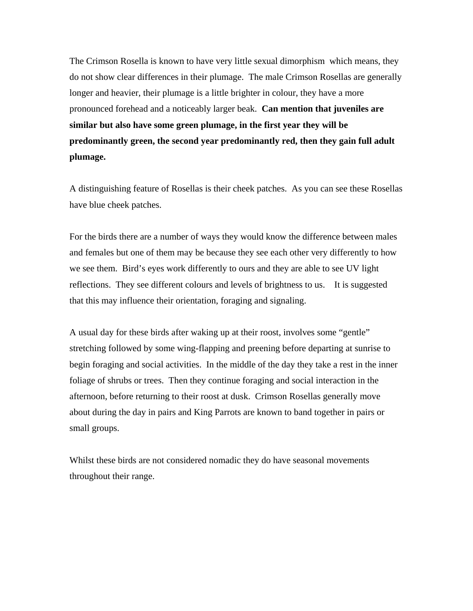The Crimson Rosella is known to have very little sexual dimorphism which means, they do not show clear differences in their plumage. The male Crimson Rosellas are generally longer and heavier, their plumage is a little brighter in colour, they have a more pronounced forehead and a noticeably larger beak. **Can mention that juveniles are similar but also have some green plumage, in the first year they will be predominantly green, the second year predominantly red, then they gain full adult plumage.** 

A distinguishing feature of Rosellas is their cheek patches. As you can see these Rosellas have blue cheek patches.

For the birds there are a number of ways they would know the difference between males and females but one of them may be because they see each other very differently to how we see them. Bird's eyes work differently to ours and they are able to see UV light reflections. They see different colours and levels of brightness to us. It is suggested that this may influence their orientation, foraging and signaling.

A usual day for these birds after waking up at their roost, involves some "gentle" stretching followed by some wing-flapping and preening before departing at sunrise to begin foraging and social activities. In the middle of the day they take a rest in the inner foliage of shrubs or trees. Then they continue foraging and social interaction in the afternoon, before returning to their roost at dusk. Crimson Rosellas generally move about during the day in pairs and King Parrots are known to band together in pairs or small groups.

Whilst these birds are not considered nomadic they do have seasonal movements throughout their range.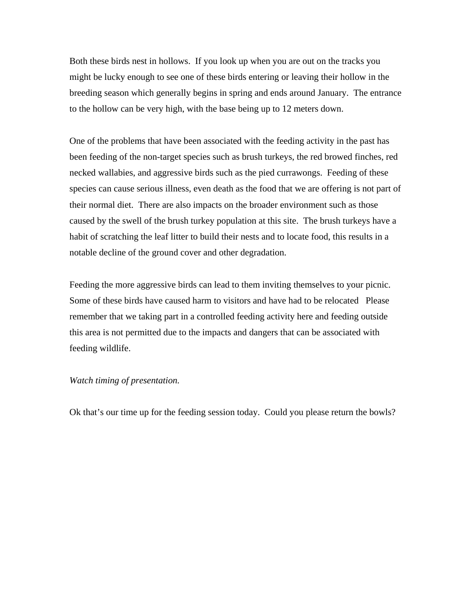Both these birds nest in hollows. If you look up when you are out on the tracks you might be lucky enough to see one of these birds entering or leaving their hollow in the breeding season which generally begins in spring and ends around January. The entrance to the hollow can be very high, with the base being up to 12 meters down.

One of the problems that have been associated with the feeding activity in the past has been feeding of the non-target species such as brush turkeys, the red browed finches, red necked wallabies, and aggressive birds such as the pied currawongs. Feeding of these species can cause serious illness, even death as the food that we are offering is not part of their normal diet. There are also impacts on the broader environment such as those caused by the swell of the brush turkey population at this site. The brush turkeys have a habit of scratching the leaf litter to build their nests and to locate food, this results in a notable decline of the ground cover and other degradation.

Feeding the more aggressive birds can lead to them inviting themselves to your picnic. Some of these birds have caused harm to visitors and have had to be relocated Please remember that we taking part in a controlled feeding activity here and feeding outside this area is not permitted due to the impacts and dangers that can be associated with feeding wildlife.

#### *Watch timing of presentation.*

Ok that's our time up for the feeding session today. Could you please return the bowls?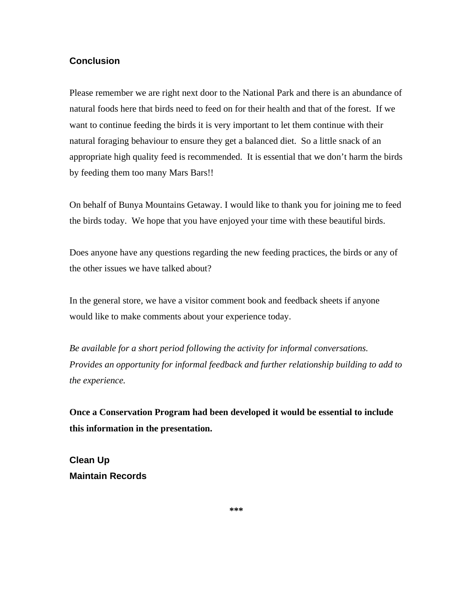### **Conclusion**

Please remember we are right next door to the National Park and there is an abundance of natural foods here that birds need to feed on for their health and that of the forest. If we want to continue feeding the birds it is very important to let them continue with their natural foraging behaviour to ensure they get a balanced diet. So a little snack of an appropriate high quality feed is recommended. It is essential that we don't harm the birds by feeding them too many Mars Bars!!

On behalf of Bunya Mountains Getaway. I would like to thank you for joining me to feed the birds today. We hope that you have enjoyed your time with these beautiful birds.

Does anyone have any questions regarding the new feeding practices, the birds or any of the other issues we have talked about?

In the general store, we have a visitor comment book and feedback sheets if anyone would like to make comments about your experience today.

*Be available for a short period following the activity for informal conversations. Provides an opportunity for informal feedback and further relationship building to add to the experience.* 

**Once a Conservation Program had been developed it would be essential to include this information in the presentation.** 

**Clean Up Maintain Records** 

**\*\*\***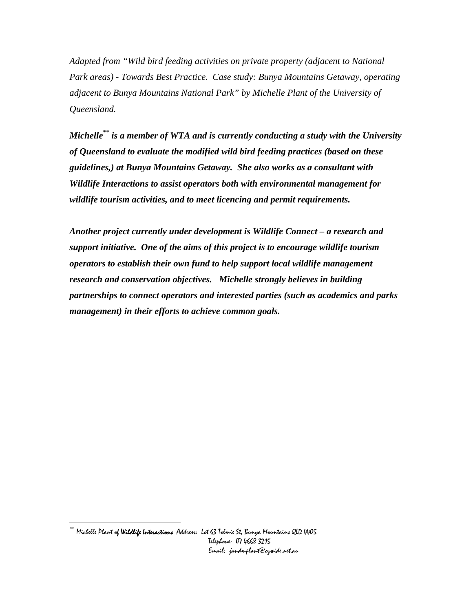*Adapted from "Wild bird feeding activities on private property (adjacent to National Park areas) - Towards Best Practice. Case study: Bunya Mountains Getaway, operating adjacent to Bunya Mountains National Park" by Michelle Plant of the University of Queensland.* 

*Michelle[\\*\\* i](#page-21-0)s a member of WTA and is currently conducting a study with the University of Queensland to evaluate the modified wild bird feeding practices (based on these guidelines,) at Bunya Mountains Getaway. She also works as a consultant with Wildlife Interactions to assist operators both with environmental management for wildlife tourism activities, and to meet licencing and permit requirements.* 

*Another project currently under development is Wildlife Connect – a research and support initiative. One of the aims of this project is to encourage wildlife tourism operators to establish their own fund to help support local wildlife management research and conservation objectives. Michelle strongly believes in building partnerships to connect operators and interested parties (such as academics and parks management) in their efforts to achieve common goals.* 

<span id="page-21-0"></span> $\overline{a}$